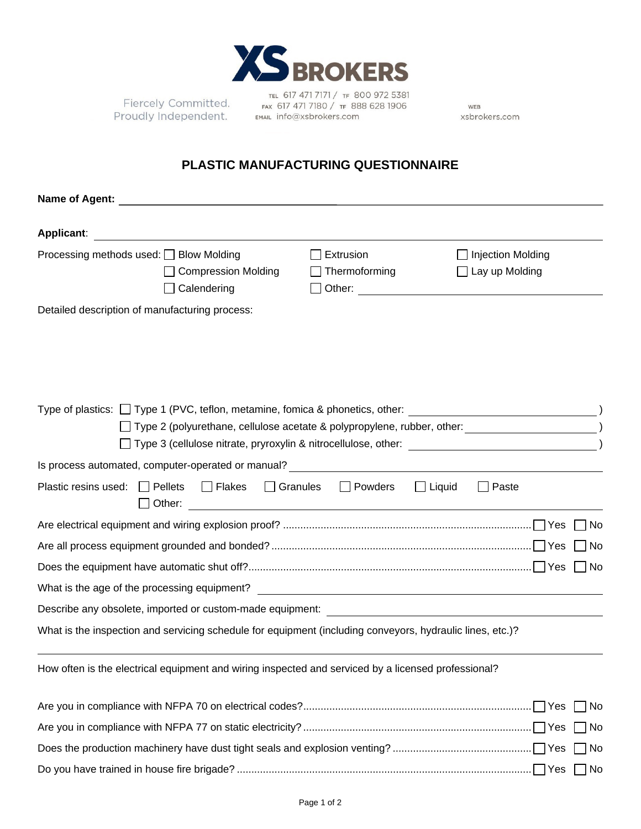

Fiercely Committed. **Proudly Independent.** FAX 61/4/1/180/1F 88

TEL 617 471 7171 / TF 800 972 5381 FAX 617 471 7180 / TF 888 628 1906

WEB xsbrokers.com

## **PLASTIC MANUFACTURING QUESTIONNAIRE**

| <b>Applicant:</b>                                                                                         |                               |                                                                                              |
|-----------------------------------------------------------------------------------------------------------|-------------------------------|----------------------------------------------------------------------------------------------|
| Processing methods used: □ Blow Molding<br><b>Compression Molding</b><br>Calendering                      | Extrusion<br>Thermoforming    | □ Injection Molding<br>$\Box$ Lay up Molding<br>Other: <u>______________________________</u> |
| Detailed description of manufacturing process:                                                            |                               |                                                                                              |
|                                                                                                           |                               |                                                                                              |
|                                                                                                           |                               |                                                                                              |
|                                                                                                           |                               |                                                                                              |
|                                                                                                           |                               |                                                                                              |
|                                                                                                           |                               |                                                                                              |
| Plastic resins used: $\Box$ Pellets                                                                       | □ Flakes □ Granules □ Powders | $\Box$ Liquid<br>$\Box$ Paste                                                                |
|                                                                                                           |                               | مN ٦                                                                                         |
|                                                                                                           |                               | No.                                                                                          |
|                                                                                                           |                               | l No                                                                                         |
| What is the age of the processing equipment? The Context of the age of the processing equipment?          |                               |                                                                                              |
| Describe any obsolete, imported or custom-made equipment: ______________________                          |                               |                                                                                              |
| What is the inspection and servicing schedule for equipment (including conveyors, hydraulic lines, etc.)? |                               |                                                                                              |
| How often is the electrical equipment and wiring inspected and serviced by a licensed professional?       |                               |                                                                                              |
|                                                                                                           |                               |                                                                                              |
|                                                                                                           |                               | ] No                                                                                         |
|                                                                                                           |                               | $\Box$ No                                                                                    |
|                                                                                                           |                               | 7 No                                                                                         |